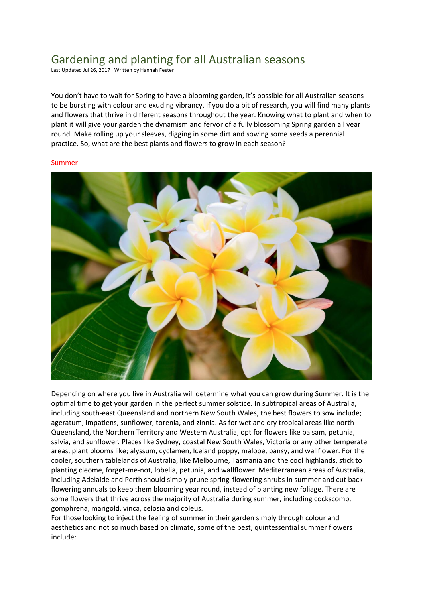# Gardening and planting for all Australian seasons

Last Updated Jul 26, 2017 · Written by Hannah Fester

You don't have to wait for Spring to have a blooming garden, it's possible for all Australian seasons to be bursting with colour and exuding vibrancy. If you do a bit of research, you will find many plants and flowers that thrive in different seasons throughout the year. Knowing what to plant and when to plant it will give your garden the dynamism and fervor of a fully blossoming Spring garden all year round. Make rolling up your sleeves, digging in some dirt and sowing some seeds a perennial practice. So, what are the best plants and flowers to grow in each season?

#### Summer



Depending on where you live in Australia will determine what you can grow during Summer. It is the optimal time to get your garden in the perfect summer solstice. In subtropical areas of Australia, including south-east Queensland and northern New South Wales, the best flowers to sow include; ageratum, impatiens, sunflower, torenia, and zinnia. As for wet and dry tropical areas like north Queensland, the Northern Territory and Western Australia, opt for flowers like balsam, petunia, salvia, and sunflower. Places like Sydney, coastal New South Wales, Victoria or any other temperate areas, plant blooms like; alyssum, cyclamen, Iceland poppy, malope, pansy, and wallflower. For the cooler, southern tablelands of Australia, like Melbourne, Tasmania and the cool highlands, stick to planting cleome, forget-me-not, lobelia, petunia, and wallflower. Mediterranean areas of Australia, including Adelaide and Perth should simply prune spring-flowering shrubs in summer and cut back flowering annuals to keep them blooming year round, instead of planting new foliage. There are some flowers that thrive across the majority of Australia during summer, including cockscomb, gomphrena, marigold, vinca, celosia and coleus.

For those looking to inject the feeling of summer in their garden simply through colour and aesthetics and not so much based on climate, some of the best, quintessential summer flowers include: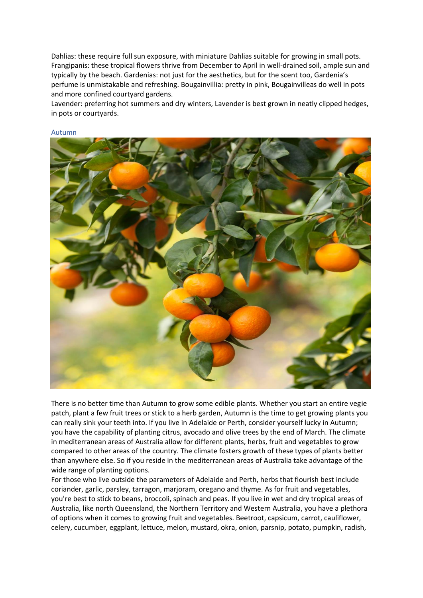Dahlias: these require full sun exposure, with miniature Dahlias suitable for growing in small pots. Frangipanis: these tropical flowers thrive from December to April in well-drained soil, ample sun and typically by the beach. Gardenias: not just for the aesthetics, but for the scent too, Gardenia's perfume is unmistakable and refreshing. Bougainvillia: pretty in pink, Bougainvilleas do well in pots and more confined courtyard gardens.

Lavender: preferring hot summers and dry winters, Lavender is best grown in neatly clipped hedges, in pots or courtyards.



#### Autumn

There is no better time than Autumn to grow some edible plants. Whether you start an entire vegie patch, plant a few fruit trees or stick to a herb garden, Autumn is the time to get growing plants you can really sink your teeth into. If you live in Adelaide or Perth, consider yourself lucky in Autumn; you have the capability of planting citrus, avocado and olive trees by the end of March. The climate in mediterranean areas of Australia allow for different plants, herbs, fruit and vegetables to grow compared to other areas of the country. The climate fosters growth of these types of plants better than anywhere else. So if you reside in the mediterranean areas of Australia take advantage of the wide range of planting options.

For those who live outside the parameters of Adelaide and Perth, herbs that flourish best include coriander, garlic, parsley, tarragon, marjoram, oregano and thyme. As for fruit and vegetables, you're best to stick to beans, broccoli, spinach and peas. If you live in wet and dry tropical areas of Australia, like north Queensland, the Northern Territory and Western Australia, you have a plethora of options when it comes to growing fruit and vegetables. Beetroot, capsicum, carrot, cauliflower, celery, cucumber, eggplant, lettuce, melon, mustard, okra, onion, parsnip, potato, pumpkin, radish,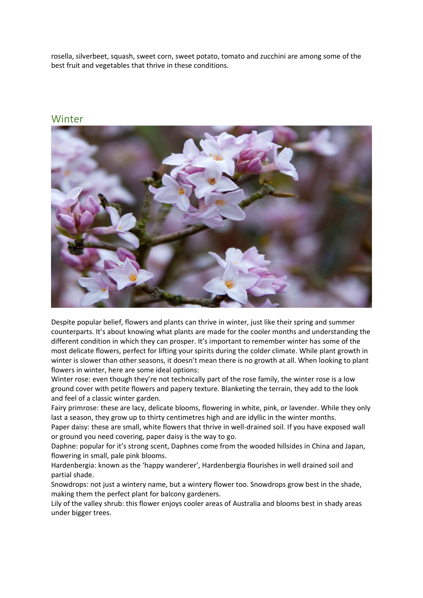rosella, silverbeet, squash, sweet corn, sweet potato, tomato and zucchini are among some of the best fruit and vegetables that thrive in these conditions.

### Winter



Despite popular belief, flowers and plants can thrive in winter, just like their spring and summer counterparts. It's about knowing what plants are made for the cooler months and understanding the different condition in which they can prosper. It's important to remember winter has some of the most delicate flowers, perfect for lifting your spirits during the colder climate. While plant growth in winter is slower than other seasons, it doesn't mean there is no growth at all. When looking to plant flowers in winter, here are some ideal options:

Winter rose: even though they're not technically part of the rose family, the winter rose is a low ground cover with petite flowers and papery texture. Blanketing the terrain, they add to the look and feel of a classic winter garden.

Fairy primrose: these are lacy, delicate blooms, flowering in white, pink, or lavender. While they only last a season, they grow up to thirty centimetres high and are idyllic in the winter months.

Paper daisy: these are small, white flowers that thrive in well-drained soil. If you have exposed wall or ground you need covering, paper daisy is the way to go.

Daphne: popular for it's strong scent, Daphnes come from the wooded hillsides in China and Japan, flowering in small, pale pink blooms.

Hardenbergia: known as the 'happy wanderer', Hardenbergia flourishes in well drained soil and partial shade.

Snowdrops: not just a wintery name, but a wintery flower too. Snowdrops grow best in the shade, making them the perfect plant for balcony gardeners.

Lily of the valley shrub: this flower enjoys cooler areas of Australia and blooms best in shady areas under bigger trees.